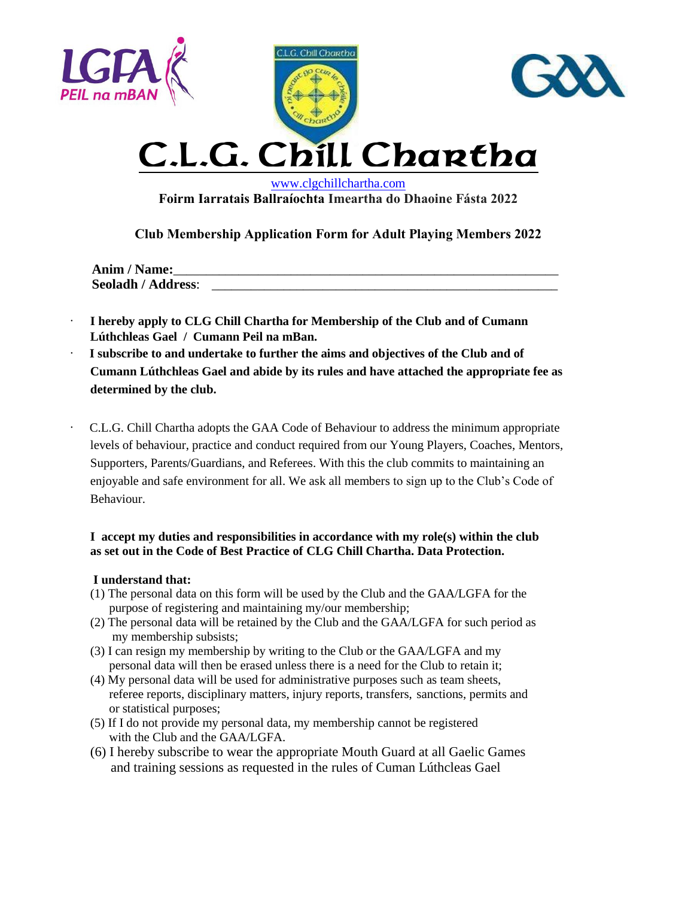





## C.L .G. Chill Chartha

 [www.clgchillchartha.com](http://www.clgchillchartha.com/)   **Foirm Iarratais Ballraíochta Imeartha do Dhaoine Fásta 2022**

**Club Membership Application Form for Adult Playing Members 2022**

| Anim / Name:              |  |
|---------------------------|--|
| <b>Seoladh / Address:</b> |  |

- ∙ **I hereby apply to CLG Chill Chartha for Membership of the Club and of Cumann Lúthchleas Gael / Cumann Peil na mBan.**
- ∙ **I subscribe to and undertake to further the aims and objectives of the Club and of Cumann Lúthchleas Gael and abide by its rules and have attached the appropriate fee as determined by the club.**
- ∙ C.L.G. Chill Chartha adopts the GAA Code of Behaviour to address the minimum appropriate levels of behaviour, practice and conduct required from our Young Players, Coaches, Mentors, Supporters, Parents/Guardians, and Referees. With this the club commits to maintaining an enjoyable and safe environment for all. We ask all members to sign up to the Club's Code of Behaviour.

## **I accept my duties and responsibilities in accordance with my role(s) within the club as set out in the Code of Best Practice of CLG Chill Chartha. Data Protection.**

## **I understand that:**

- (1) The personal data on this form will be used by the Club and the GAA/LGFA for the purpose of registering and maintaining my/our membership;
- (2) The personal data will be retained by the Club and the GAA/LGFA for such period as my membership subsists;
- (3) I can resign my membership by writing to the Club or the GAA/LGFA and my personal data will then be erased unless there is a need for the Club to retain it;
- (4) My personal data will be used for administrative purposes such as team sheets, referee reports, disciplinary matters, injury reports, transfers, sanctions, permits and or statistical purposes;
- (5) If I do not provide my personal data, my membership cannot be registered with the Club and the GAA/LGFA.
- (6) I hereby subscribe to wear the appropriate Mouth Guard at all Gaelic Games and training sessions as requested in the rules of Cuman Lúthcleas Gael